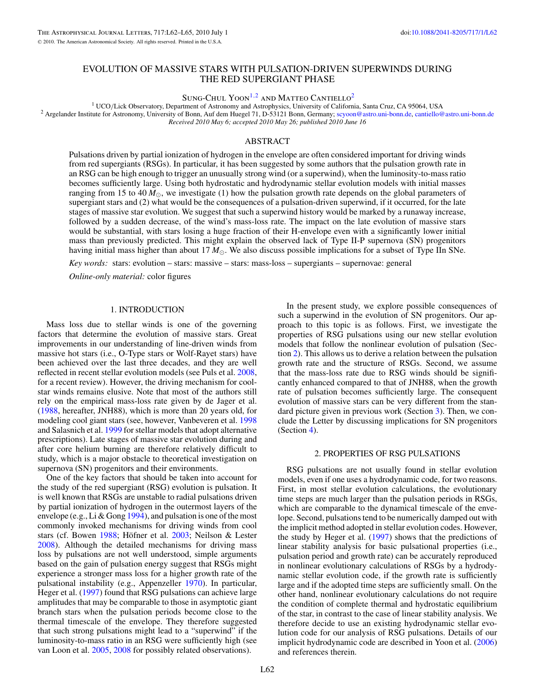# EVOLUTION OF MASSIVE STARS WITH PULSATION-DRIVEN SUPERWINDS DURING THE RED SUPERGIANT PHASE

SUNG-CHUL YOON<sup>1,2</sup> AND MATTEO CANTIELLO<sup>2</sup>

<sup>1</sup> UCO/Lick Observatory, Department of Astronomy and Astrophysics, University of California, Santa Cruz, CA 95064, USA<br><sup>2</sup> Argelander Institute for Astronomy, University of Bonn, Auf dem Huegel 71, D-53121 Bonn, Germany; *Received 2010 May 6; accepted 2010 May 26; published 2010 June 16*

#### ABSTRACT

Pulsations driven by partial ionization of hydrogen in the envelope are often considered important for driving winds from red supergiants (RSGs). In particular, it has been suggested by some authors that the pulsation growth rate in an RSG can be high enough to trigger an unusually strong wind (or a superwind), when the luminosity-to-mass ratio becomes sufficiently large. Using both hydrostatic and hydrodynamic stellar evolution models with initial masses ranging from 15 to 40  $M_{\odot}$ , we investigate (1) how the pulsation growth rate depends on the global parameters of supergiant stars and (2) what would be the consequences of a pulsation-driven superwind, if it occurred, for the late stages of massive star evolution. We suggest that such a superwind history would be marked by a runaway increase, followed by a sudden decrease, of the wind's mass-loss rate. The impact on the late evolution of massive stars would be substantial, with stars losing a huge fraction of their H-envelope even with a significantly lower initial mass than previously predicted. This might explain the observed lack of Type II-P supernova (SN) progenitors having initial mass higher than about 17  $M_{\odot}$ . We also discuss possible implications for a subset of Type IIn SNe.

*Key words:* stars: evolution – stars: massive – stars: mass-loss – supergiants – supernovae: general

*Online-only material:* color figures

### 1. INTRODUCTION

Mass loss due to stellar winds is one of the governing factors that determine the evolution of massive stars. Great improvements in our understanding of line-driven winds from massive hot stars (i.e., O-Type stars or Wolf-Rayet stars) have been achieved over the last three decades, and they are well reflected in recent stellar evolution models (see Puls et al. [2008,](#page-3-0) for a recent review). However, the driving mechanism for coolstar winds remains elusive. Note that most of the authors still rely on the empirical mass-loss rate given by de Jager et al. [\(1988,](#page-3-0) hereafter, JNH88), which is more than 20 years old, for modeling cool giant stars (see, however, Vanbeveren et al. [1998](#page-3-0) and Salasnich et al. [1999](#page-3-0) for stellar models that adopt alternative prescriptions). Late stages of massive star evolution during and after core helium burning are therefore relatively difficult to study, which is a major obstacle to theoretical investigation on supernova (SN) progenitors and their environments.

One of the key factors that should be taken into account for the study of the red supergiant (RSG) evolution is pulsation. It is well known that RSGs are unstable to radial pulsations driven by partial ionization of hydrogen in the outermost layers of the envelope (e.g., Li & Gong [1994\)](#page-3-0), and pulsation is one of the most commonly invoked mechanisms for driving winds from cool stars (cf. Bowen [1988;](#page-3-0) Höfner et al. [2003;](#page-3-0) Neilson & Lester [2008\)](#page-3-0). Although the detailed mechanisms for driving mass loss by pulsations are not well understood, simple arguments based on the gain of pulsation energy suggest that RSGs might experience a stronger mass loss for a higher growth rate of the pulsational instability (e.g., Appenzeller [1970\)](#page-3-0). In particular, Heger et al. [\(1997\)](#page-3-0) found that RSG pulsations can achieve large amplitudes that may be comparable to those in asymptotic giant branch stars when the pulsation periods become close to the thermal timescale of the envelope. They therefore suggested that such strong pulsations might lead to a "superwind" if the luminosity-to-mass ratio in an RSG were sufficiently high (see van Loon et al. [2005,](#page-3-0) [2008](#page-3-0) for possibly related observations).

In the present study, we explore possible consequences of such a superwind in the evolution of SN progenitors. Our approach to this topic is as follows. First, we investigate the properties of RSG pulsations using our new stellar evolution models that follow the nonlinear evolution of pulsation (Section 2). This allows us to derive a relation between the pulsation growth rate and the structure of RSGs. Second, we assume that the mass-loss rate due to RSG winds should be significantly enhanced compared to that of JNH88, when the growth rate of pulsation becomes sufficiently large. The consequent evolution of massive stars can be very different from the standard picture given in previous work (Section [3\)](#page-2-0). Then, we conclude the Letter by discussing implications for SN progenitors (Section [4\)](#page-3-0).

#### 2. PROPERTIES OF RSG PULSATIONS

RSG pulsations are not usually found in stellar evolution models, even if one uses a hydrodynamic code, for two reasons. First, in most stellar evolution calculations, the evolutionary time steps are much larger than the pulsation periods in RSGs, which are comparable to the dynamical timescale of the envelope. Second, pulsations tend to be numerically damped out with the implicit method adopted in stellar evolution codes. However, the study by Heger et al. [\(1997\)](#page-3-0) shows that the predictions of linear stability analysis for basic pulsational properties (i.e., pulsation period and growth rate) can be accurately reproduced in nonlinear evolutionary calculations of RSGs by a hydrodynamic stellar evolution code, if the growth rate is sufficiently large and if the adopted time steps are sufficiently small. On the other hand, nonlinear evolutionary calculations do not require the condition of complete thermal and hydrostatic equilibrium of the star, in contrast to the case of linear stability analysis. We therefore decide to use an existing hydrodynamic stellar evolution code for our analysis of RSG pulsations. Details of our implicit hydrodynamic code are described in Yoon et al. [\(2006\)](#page-3-0) and references therein.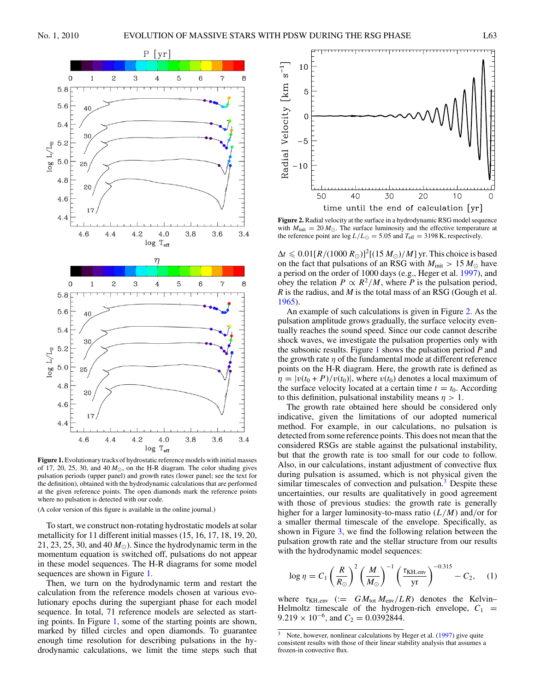<span id="page-1-0"></span>

**Figure 1.**Evolutionary tracks of hydrostatic reference models with initial masses of 17, 20, 25, 30, and  $40 M_{\odot}$ , on the H-R diagram. The color shading gives pulsation periods (upper panel) and growth rates (lower panel; see the text for the definition), obtained with the hydrodynamic calculations that are performed at the given reference points. The open diamonds mark the reference points where no pulsation is detected with our code.

(A color version of this figure is available in the online journal.)

To start, we construct non-rotating hydrostatic models at solar metallicity for 11 different initial masses (15, 16, 17, 18, 19, 20, 21, 23, 25, 30, and 40  $M_{\odot}$ ). Since the hydrodynamic term in the momentum equation is switched off, pulsations do not appear in these model sequences. The H-R diagrams for some model sequences are shown in Figure 1.

Then, we turn on the hydrodynamic term and restart the calculation from the reference models chosen at various evolutionary epochs during the supergiant phase for each model sequence. In total, 71 reference models are selected as starting points. In Figure 1, some of the starting points are shown, marked by filled circles and open diamonds. To guarantee enough time resolution for describing pulsations in the hydrodynamic calculations, we limit the time steps such that



**Figure 2.** Radial velocity at the surface in a hydrodynamic RSG model sequence with  $M_{\text{init}} = 20 M_{\odot}$ . The surface luminosity and the effective temperature at the reference point are  $\log L/L_{\odot} = 5.05$  and  $T_{\text{eff}} = 3198$  K, respectively.

 $\Delta t \leqslant 0.01 [R/(1000 R_\odot)]^2$  [(15 *M*<sub> $\odot$ </sub>)/*M*] yr. This choice is based on the fact that pulsations of an RSG with  $M_{\text{init}} > 15 M_{\odot}$  have a period on the order of 1000 days (e.g., Heger et al. [1997\)](#page-3-0), and obey the relation  $P \propto R^2/M$ , where *P* is the pulsation period, *R* is the radius, and *M* is the total mass of an RSG (Gough et al. [1965\)](#page-3-0).

An example of such calculations is given in Figure 2. As the pulsation amplitude grows gradually, the surface velocity eventually reaches the sound speed. Since our code cannot describe shock waves, we investigate the pulsation properties only with the subsonic results. Figure 1 shows the pulsation period *P* and the growth rate *η* of the fundamental mode at different reference points on the H-R diagram. Here, the growth rate is defined as  $\eta = |v(t_0 + P)/v(t_0)|$ , where  $v(t_0)$  denotes a local maximum of the surface velocity located at a certain time  $t = t_0$ . According to this definition, pulsational instability means  $\eta > 1$ .

The growth rate obtained here should be considered only indicative, given the limitations of our adopted numerical method. For example, in our calculations, no pulsation is detected from some reference points. This does not mean that the considered RSGs are stable against the pulsational instability, but that the growth rate is too small for our code to follow. Also, in our calculations, instant adjustment of convective flux during pulsation is assumed, which is not physical given the similar timescales of convection and pulsation. $3$  Despite these uncertainties, our results are qualitatively in good agreement with those of previous studies: the growth rate is generally higher for a larger luminosity-to-mass ratio (*L/M*) and*/*or for a smaller thermal timescale of the envelope. Specifically, as shown in Figure [3,](#page-2-0) we find the following relation between the pulsation growth rate and the stellar structure from our results with the hydrodynamic model sequences:

$$
\log \eta = C_1 \left(\frac{R}{R_{\odot}}\right)^2 \left(\frac{M}{M_{\odot}}\right)^{-1} \left(\frac{\tau_{\text{KH,env}}}{\text{yr}}\right)^{-0.315} - C_2, \quad (1)
$$

where  $\tau_{\text{KH,env}}$  (:=  $GM_{\text{tot}} M_{\text{env}} / LR$ ) denotes the Kelvin– Helmoltz timescale of the hydrogen-rich envelope,  $C_1$  =  $9.219 \times 10^{-6}$ , and  $C_2 = 0.0392844$ .

 $3$  Note, however, nonlinear calculations by Heger et al. [\(1997\)](#page-3-0) give quite consistent results with those of their linear stability analysis that assumes a frozen-in convective flux.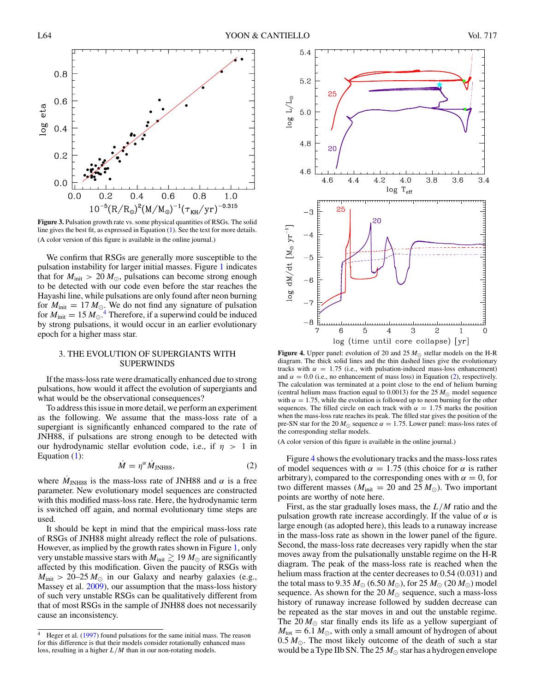<span id="page-2-0"></span>

Figure 3. Pulsation growth rate vs. some physical quantities of RSGs. The solid line gives the best fit, as expressed in Equation [\(1\)](#page-1-0). See the text for more details. (A color version of this figure is available in the online journal.)

We confirm that RSGs are generally more susceptible to the pulsation instability for larger initial masses. Figure [1](#page-1-0) indicates that for  $M_{init} > 20 M_{\odot}$ , pulsations can become strong enough to be detected with our code even before the star reaches the Hayashi line, while pulsations are only found after neon burning for  $M_{init} = 17 M_{\odot}$ . We do not find any signature of pulsation for  $M_{\text{init}} = 15 M_{\odot}$ .<sup>4</sup> Therefore, if a superwind could be induced by strong pulsations, it would occur in an earlier evolutionary epoch for a higher mass star.

## 3. THE EVOLUTION OF SUPERGIANTS WITH SUPERWINDS

If the mass-loss rate were dramatically enhanced due to strong pulsations, how would it affect the evolution of supergiants and what would be the observational consequences?

To address this issue in more detail, we perform an experiment as the following. We assume that the mass-loss rate of a supergiant is significantly enhanced compared to the rate of JNH88, if pulsations are strong enough to be detected with our hydrodynamic stellar evolution code, i.e., if *η >* 1 in Equation [\(1\)](#page-1-0):

$$
\dot{M} = \eta^{\alpha} \dot{M}_{\text{JNH88}},\tag{2}
$$

where  $M_{INH88}$  is the mass-loss rate of JNH88 and  $\alpha$  is a free parameter. New evolutionary model sequences are constructed with this modified mass-loss rate. Here, the hydrodynamic term is switched off again, and normal evolutionary time steps are used.

It should be kept in mind that the empirical mass-loss rate of RSGs of JNH88 might already reflect the role of pulsations. However, as implied by the growth rates shown in Figure [1,](#page-1-0) only very unstable massive stars with  $M_{\text{init}} \gtrsim 19 M_{\odot}$  are significantly affected by this modification. Given the paucity of RSGs with  $M_{\text{init}} > 20-25 M_{\odot}$  in our Galaxy and nearby galaxies (e.g., Massey et al. [2009\)](#page-3-0), our assumption that the mass-loss history of such very unstable RSGs can be qualitatively different from that of most RSGs in the sample of JNH88 does not necessarily cause an inconsistency.



**Figure 4.** Upper panel: evolution of 20 and 25  $M_{\odot}$  stellar models on the H-R diagram. The thick solid lines and the thin dashed lines give the evolutionary tracks with  $\alpha = 1.75$  (i.e., with pulsation-induced mass-loss enhancement) and  $\alpha = 0.0$  (i.e., no enhancement of mass loss) in Equation (2), respectively. The calculation was terminated at a point close to the end of helium burning (central helium mass fraction equal to  $0.0013$ ) for the 25  $M_{\odot}$  model sequence with  $\alpha = 1.75$ , while the evolution is followed up to neon burning for the other sequences. The filled circle on each track with  $\alpha = 1.75$  marks the position when the mass-loss rate reaches its peak. The filled star gives the position of the pre-SN star for the 20  $M_{\odot}$  sequence  $\alpha = 1.75$ . Lower panel: mass-loss rates of the corresponding stellar models.

(A color version of this figure is available in the online journal.)

Figure 4 shows the evolutionary tracks and the mass-loss rates of model sequences with  $\alpha = 1.75$  (this choice for  $\alpha$  is rather arbitrary), compared to the corresponding ones with  $\alpha = 0$ , for two different masses ( $M_{\text{init}} = 20$  and 25  $M_{\odot}$ ). Two important points are worthy of note here.

First, as the star gradually loses mass, the *L/M* ratio and the pulsation growth rate increase accordingly. If the value of  $\alpha$  is large enough (as adopted here), this leads to a runaway increase in the mass-loss rate as shown in the lower panel of the figure. Second, the mass-loss rate decreases very rapidly when the star moves away from the pulsationally unstable regime on the H-R diagram. The peak of the mass-loss rate is reached when the helium mass fraction at the center decreases to 0.54 (0.031) and the total mass to 9.35  $M_{\odot}$  (6.50  $M_{\odot}$ ), for 25  $M_{\odot}$  (20  $M_{\odot}$ ) model sequence. As shown for the 20  $M_{\odot}$  sequence, such a mass-loss history of runaway increase followed by sudden decrease can be repeated as the star moves in and out the unstable regime. The 20  $M_{\odot}$  star finally ends its life as a yellow supergiant of  $M_{\text{tot}} = 6.1 M_{\odot}$ , with only a small amount of hydrogen of about  $0.5 M_{\odot}$ . The most likely outcome of the death of such a star would be a Type IIb SN. The 25  $M_{\odot}$  star has a hydrogen envelope

<sup>&</sup>lt;sup>4</sup> Heger et al. [\(1997\)](#page-3-0) found pulsations for the same initial mass. The reason for this difference is that their models consider rotationally enhanced mass loss, resulting in a higher  $L/M$  than in our non-rotating models.